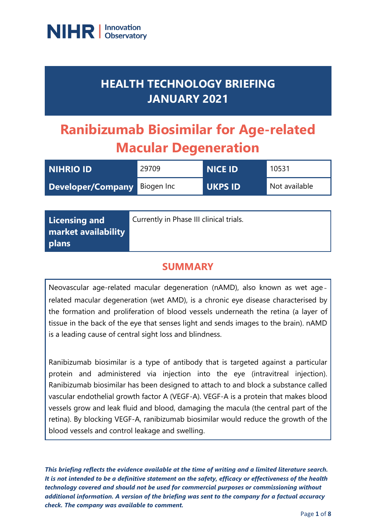

## **HEALTH TECHNOLOGY BRIEFING JANUARY 2021**

# **Ranibizumab Biosimilar for Age-related Macular Degeneration**

| <b>NIHRIO ID</b>  | 29709      | <b>NICE ID</b> | 10531         |
|-------------------|------------|----------------|---------------|
| Developer/Company | Biogen Inc | <b>UKPS ID</b> | Not available |

| Licensing and              | Currently in Phase III clinical trials. |
|----------------------------|-----------------------------------------|
| <b>market availability</b> |                                         |
| plans                      |                                         |

## **SUMMARY**

Neovascular age-related macular degeneration (nAMD), also known as wet age‐ related macular degeneration (wet AMD), is a chronic eye disease characterised by the formation and proliferation of blood vessels underneath the retina (a layer of tissue in the back of the eye that senses light and sends images to the brain). nAMD is a leading cause of central sight loss and blindness.

Ranibizumab biosimilar is a type of antibody that is targeted against a particular protein and administered via injection into the eye (intravitreal injection). Ranibizumab biosimilar has been designed to attach to and block a substance called vascular endothelial growth factor A (VEGF-A). VEGF-A is a protein that makes blood vessels grow and leak fluid and blood, damaging the macula (the central part of the retina). By blocking VEGF-A, ranibizumab biosimilar would reduce the growth of the blood vessels and control leakage and swelling.

*This briefing reflects the evidence available at the time of writing and a limited literature search. It is not intended to be a definitive statement on the safety, efficacy or effectiveness of the health technology covered and should not be used for commercial purposes or commissioning without additional information. A version of the briefing was sent to the company for a factual accuracy check. The company was available to comment.*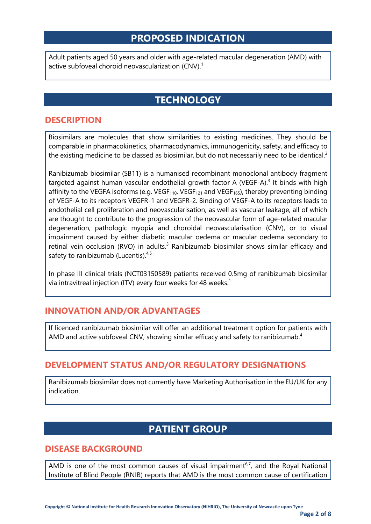### **PROPOSED INDICATION**

Adult patients aged 50 years and older with age-related macular degeneration (AMD) with active subfoveal choroid neovascularization (CNV).<sup>1</sup>

## **TECHNOLOGY**

#### **DESCRIPTION**

Biosimilars are molecules that show similarities to existing medicines. They should be comparable in pharmacokinetics, pharmacodynamics, immunogenicity, safety, and efficacy to the existing medicine to be classed as biosimilar, but do not necessarily need to be identical.<sup>2</sup>

Ranibizumab biosimilar (SB11) is a humanised recombinant monoclonal antibody fragment targeted against human vascular endothelial growth factor A (VEGF-A).<sup>3</sup> It binds with high affinity to the VEGFA isoforms (e.g. VEGF $_{110}$ , VEGF $_{121}$  and VEGF $_{165}$ ), thereby preventing binding of VEGF-A to its receptors VEGFR-1 and VEGFR-2. Binding of VEGF-A to its receptors leads to endothelial cell proliferation and neovascularisation, as well as vascular leakage, all of which are thought to contribute to the progression of the neovascular form of age-related macular degeneration, pathologic myopia and choroidal neovascularisation (CNV), or to visual impairment caused by either diabetic macular oedema or macular oedema secondary to retinal vein occlusion (RVO) in adults.<sup>3</sup> Ranibizumab biosimilar shows similar efficacy and safety to ranibizumab (Lucentis).<sup>4,5</sup>

In phase III clinical trials (NCT03150589) patients received 0.5mg of ranibizumab biosimilar via intravitreal injection (ITV) every four weeks for 48 weeks.<sup>1</sup>

#### **INNOVATION AND/OR ADVANTAGES**

If licenced ranibizumab biosimilar will offer an additional treatment option for patients with AMD and active subfoveal CNV, showing similar efficacy and safety to ranibizumab.<sup>4</sup>

#### **DEVELOPMENT STATUS AND/OR REGULATORY DESIGNATIONS**

Ranibizumab biosimilar does not currently have Marketing Authorisation in the EU/UK for any indication.

## **PATIENT GROUP**

#### **DISEASE BACKGROUND**

AMD is one of the most common causes of visual impairment<sup>6,7</sup>, and the Royal National Institute of Blind People (RNIB) reports that AMD is the most common cause of certification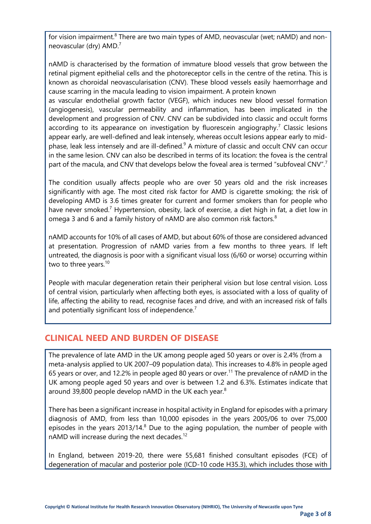for vision impairment.<sup>8</sup> There are two main types of AMD, neovascular (wet; nAMD) and nonneovascular (dry) AMD.<sup>7</sup>

nAMD is characterised by the formation of immature blood vessels that grow between the retinal pigment epithelial cells and the photoreceptor cells in the centre of the retina. This is known as choroidal neovascularisation (CNV). These blood vessels easily haemorrhage and cause scarring in the macula leading to vision impairment. A protein known

as vascular endothelial growth factor (VEGF), which induces new blood vessel formation (angiogenesis), vascular permeability and inflammation, has been implicated in the development and progression of CNV. CNV can be subdivided into classic and occult forms according to its appearance on investigation by fluorescein angiography.<sup>7</sup> Classic lesions appear early, are well-defined and leak intensely, whereas occult lesions appear early to midphase, leak less intensely and are ill-defined.<sup>9</sup> A mixture of classic and occult CNV can occur in the same lesion. CNV can also be described in terms of its location: the fovea is the central part of the macula, and CNV that develops below the foveal area is termed "subfoveal CNV".<sup>7</sup>

The condition usually affects people who are over 50 years old and the risk increases significantly with age. The most cited risk factor for AMD is cigarette smoking; the risk of developing AMD is 3.6 times greater for current and former smokers than for people who have never smoked.<sup>7</sup> Hypertension, obesity, lack of exercise, a diet high in fat, a diet low in omega 3 and 6 and a family history of nAMD are also common risk factors.<sup>8</sup>

nAMD accounts for 10% of all cases of AMD, but about 60% of those are considered advanced at presentation. Progression of nAMD varies from a few months to three years. If left untreated, the diagnosis is poor with a significant visual loss (6/60 or worse) occurring within two to three years.<sup>10</sup>

People with macular degeneration retain their peripheral vision but lose central vision. Loss of central vision, particularly when affecting both eyes, is associated with a loss of quality of life, affecting the ability to read, recognise faces and drive, and with an increased risk of falls and potentially significant loss of independence.<sup>7</sup>

#### **CLINICAL NEED AND BURDEN OF DISEASE**

The prevalence of late AMD in the UK among people aged 50 years or over is 2.4% (from a meta-analysis applied to UK 2007–09 population data). This increases to 4.8% in people aged 65 years or over, and 12.2% in people aged 80 years or over.<sup>11</sup> The prevalence of nAMD in the UK among people aged 50 years and over is between 1.2 and 6.3%. Estimates indicate that around 39,800 people develop nAMD in the UK each year.<sup>8</sup>

There has been a significant increase in hospital activity in England for episodes with a primary diagnosis of AMD, from less than 10,000 episodes in the years 2005/06 to over 75,000 episodes in the years  $2013/14$ .<sup>8</sup> Due to the aging population, the number of people with nAMD will increase during the next decades.<sup>12</sup>

In England, between 2019-20, there were 55,681 finished consultant episodes (FCE) of degeneration of macular and posterior pole (ICD-10 code H35.3), which includes those with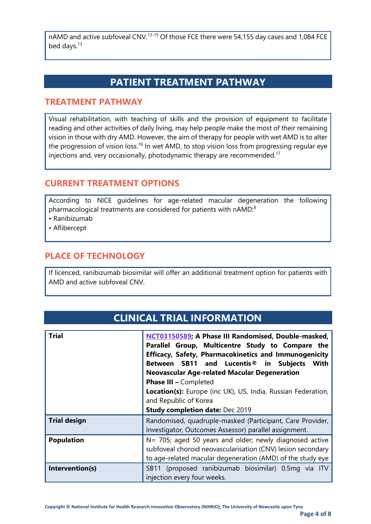nAMD and active subfoveal CNV.<sup>13-15</sup> Of those FCE there were 54,155 day cases and 1,084 FCE bed days.<sup>13</sup>

## **PATIENT TREATMENT PATHWAY**

#### **TREATMENT PATHWAY**

Visual rehabilitation, with teaching of skills and the provision of equipment to facilitate reading and other activities of daily living, may help people make the most of their remaining vision in those with dry AMD. However, the aim of therapy for people with wet AMD is to alter the progression of vision loss.<sup>16</sup> In wet AMD, to stop vision loss from progressing regular eye injections and, very occasionally, photodynamic therapy are recommended.<sup>17</sup>

#### **CURRENT TREATMENT OPTIONS**

According to NICE guidelines for age-related macular degeneration the following pharmacological treatments are considered for patients with nAMD:<sup>8</sup>

- Ranibizumab
- Aflibercept

#### **PLACE OF TECHNOLOGY**

If licenced, ranibizumab biosimilar will offer an additional treatment option for patients with AMD and active subfoveal CNV.

| <b>Trial</b>        | NCT03150589; A Phase III Randomised, Double-masked,          |  |  |
|---------------------|--------------------------------------------------------------|--|--|
|                     | Parallel Group, Multicentre Study to Compare the             |  |  |
|                     | <b>Efficacy, Safety, Pharmacokinetics and Immunogenicity</b> |  |  |
|                     | Between SB11 and Lucentis <sup>®</sup> in Subjects<br>With   |  |  |
|                     | <b>Neovascular Age-related Macular Degeneration</b>          |  |  |
|                     | <b>Phase III - Completed</b>                                 |  |  |
|                     | Location(s): Europe (inc UK), US, India, Russian Federation, |  |  |
|                     | and Republic of Korea                                        |  |  |
|                     | <b>Study completion date: Dec 2019</b>                       |  |  |
| <b>Trial design</b> | Randomised, quadruple-masked (Participant, Care Provider,    |  |  |
|                     | Investigator, Outcomes Assessor) parallel assignment.        |  |  |
| <b>Population</b>   | N= 705; aged 50 years and older; newly diagnosed active      |  |  |
|                     | subfoveal choroid neovascularisation (CNV) lesion secondary  |  |  |
|                     | to age-related macular degeneration (AMD) of the study eye   |  |  |
| Intervention(s)     | SB11 (proposed ranibizumab biosimilar) 0.5mg via ITV         |  |  |
|                     | injection every four weeks.                                  |  |  |

## **CLINICAL TRIAL INFORMATION**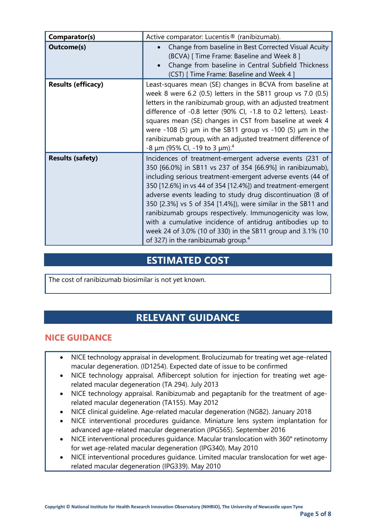| Comparator(s)             | Active comparator: Lucentis <sup>®</sup> (ranibizumab).                                                                                                                                                                                                                                                                                                                                                                                                                                                                                                                                                                  |
|---------------------------|--------------------------------------------------------------------------------------------------------------------------------------------------------------------------------------------------------------------------------------------------------------------------------------------------------------------------------------------------------------------------------------------------------------------------------------------------------------------------------------------------------------------------------------------------------------------------------------------------------------------------|
| <b>Outcome(s)</b>         | Change from baseline in Best Corrected Visual Acuity<br>(BCVA) [ Time Frame: Baseline and Week 8 ]<br>Change from baseline in Central Subfield Thickness<br>(CST) [ Time Frame: Baseline and Week 4 ]                                                                                                                                                                                                                                                                                                                                                                                                                    |
| <b>Results (efficacy)</b> | Least-squares mean (SE) changes in BCVA from baseline at<br>week 8 were 6.2 (0.5) letters in the SB11 group vs $7.0$ (0.5)<br>letters in the ranibizumab group, with an adjusted treatment<br>difference of -0.8 letter (90% CI, -1.8 to 0.2 letters). Least-<br>squares mean (SE) changes in CST from baseline at week 4<br>were -108 (5) $\mu$ m in the SB11 group vs -100 (5) $\mu$ m in the<br>ranibizumab group, with an adjusted treatment difference of<br>$-8 \mu m$ (95% CI, -19 to 3 $\mu$ m). <sup>4</sup>                                                                                                    |
| <b>Results (safety)</b>   | Incidences of treatment-emergent adverse events (231 of<br>350 [66.0%] in SB11 vs 237 of 354 [66.9%] in ranibizumab),<br>including serious treatment-emergent adverse events (44 of<br>350 [12.6%] in vs 44 of 354 [12.4%]) and treatment-emergent<br>adverse events leading to study drug discontinuation (8 of<br>350 [2.3%] vs 5 of 354 [1.4%]), were similar in the SB11 and<br>ranibizumab groups respectively. Immunogenicity was low,<br>with a cumulative incidence of antidrug antibodies up to<br>week 24 of 3.0% (10 of 330) in the SB11 group and 3.1% (10<br>of 327) in the ranibizumab group. <sup>4</sup> |

## **ESTIMATED COST**

The cost of ranibizumab biosimilar is not yet known.

## **RELEVANT GUIDANCE**

#### **NICE GUIDANCE**

- NICE technology appraisal in development. Brolucizumab for treating wet age-related macular degeneration. (ID1254). Expected date of issue to be confirmed
- NICE technology appraisal. Aflibercept solution for injection for treating wet agerelated macular degeneration (TA 294). July 2013
- NICE technology appraisal. Ranibizumab and pegaptanib for the treatment of agerelated macular degeneration (TA155). May 2012
- NICE clinical guideline. Age-related macular degeneration (NG82). January 2018
- NICE interventional procedures guidance. Miniature lens system implantation for advanced age-related macular degeneration (IPG565). September 2016
- NICE interventional procedures guidance. Macular translocation with 360° retinotomy for wet age-related macular degeneration (IPG340). May 2010
- NICE interventional procedures guidance. Limited macular translocation for wet agerelated macular degeneration (IPG339). May 2010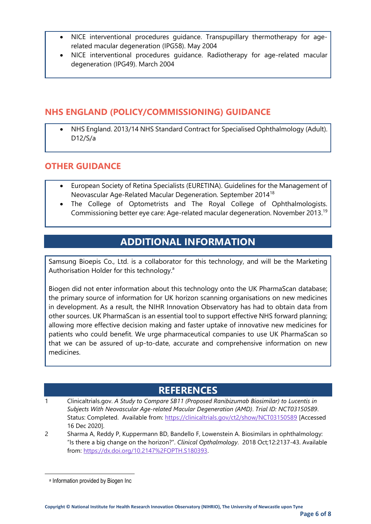- NICE interventional procedures guidance. Transpupillary thermotherapy for agerelated macular degeneration (IPG58). May 2004
- NICE interventional procedures guidance. Radiotherapy for age-related macular degeneration (IPG49). March 2004

#### **NHS ENGLAND (POLICY/COMMISSIONING) GUIDANCE**

• NHS England. 2013/14 NHS Standard Contract for Specialised Ophthalmology (Adult). D12/S/a

#### **OTHER GUIDANCE**

- European Society of Retina Specialists (EURETINA). Guidelines for the Management of Neovascular Age-Related Macular Degeneration. September 2014<sup>18</sup>
- The College of Optometrists and The Royal College of Ophthalmologists. Commissioning better eye care: Age-related macular degeneration. November 2013.<sup>19</sup>

## **ADDITIONAL INFORMATION**

Samsung Bioepis Co., Ltd. is a collaborator for this technology, and will be the Marketing Authorisation Holder for this technology.<sup>a</sup>

Biogen did not enter information about this technology onto the UK PharmaScan database; the primary source of information for UK horizon scanning organisations on new medicines in development. As a result, the NIHR Innovation Observatory has had to obtain data from other sources. UK PharmaScan is an essential tool to support effective NHS forward planning; allowing more effective decision making and faster uptake of innovative new medicines for patients who could benefit. We urge pharmaceutical companies to use UK PharmaScan so that we can be assured of up-to-date, accurate and comprehensive information on new medicines.

## **REFERENCES**

- 1 Clinicaltrials.gov. *A Study to Compare SB11 (Proposed Ranibizumab Biosimilar) to Lucentis in Subjects With Neovascular Age-related Macular Degeneration (AMD)*. *Trial ID: NCT03150589*. Status: Completed. Available from:<https://clinicaltrials.gov/ct2/show/NCT03150589> [Accessed 16 Dec 2020].
- 2 Sharma A, Reddy P, Kuppermann BD, Bandello F, Lowenstein A. Biosimilars in ophthalmology: "Is there a big change on the horizon?". *Clinical Opthalmology*. 2018 Oct;12:2137-43. Available from: [https://dx.doi.org/10.2147%2FOPTH.S180393.](https://dx.doi.org/10.2147%2FOPTH.S180393)

a Information provided by Biogen Inc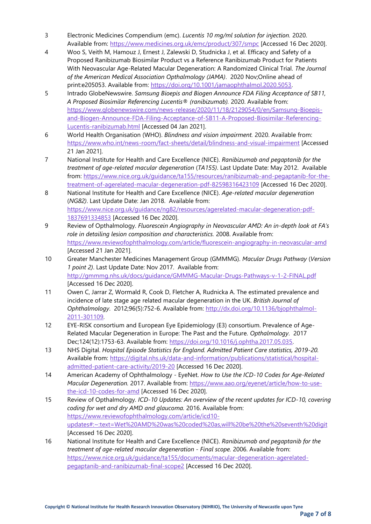- 3 Electronic Medicines Compendium (emc). *Lucentis 10 mg/ml solution for injection.* 2020. Available from:<https://www.medicines.org.uk/emc/product/307/smpc> [Accessed 16 Dec 2020].
- 4 Woo S, Veith M, Hamouz J, Ernest J, Zalewski D, Studnicka J, et al. Efficacy and Safety of a Proposed Ranibizumab Biosimilar Product vs a Reference Ranibizumab Product for Patients With Neovascular Age-Related Macular Degeneration: A Randomized Clinical Trial. *The Journal of the American Medical Association Opthalmology (JAMA)*. 2020 Nov;Online ahead of print:e205053. Available from: [https://doi.org/10.1001/jamaophthalmol.2020.5053.](https://doi.org/10.1001/jamaophthalmol.2020.5053)
- 5 Intrado GlobeNewswire. *Samsung Bioepis and Biogen Announce FDA Filing Acceptance of SB11, A Proposed Biosimilar Referencing Lucentis® (ranibizumab).* 2020. Available from: [https://www.globenewswire.com/news-release/2020/11/18/2129054/0/en/Samsung-Bioepis](https://www.globenewswire.com/news-release/2020/11/18/2129054/0/en/Samsung-Bioepis-and-Biogen-Announce-FDA-Filing-Acceptance-of-SB11-A-Proposed-Biosimilar-Referencing-Lucentis-ranibizumab.html)[and-Biogen-Announce-FDA-Filing-Acceptance-of-SB11-A-Proposed-Biosimilar-Referencing-](https://www.globenewswire.com/news-release/2020/11/18/2129054/0/en/Samsung-Bioepis-and-Biogen-Announce-FDA-Filing-Acceptance-of-SB11-A-Proposed-Biosimilar-Referencing-Lucentis-ranibizumab.html)[Lucentis-ranibizumab.html](https://www.globenewswire.com/news-release/2020/11/18/2129054/0/en/Samsung-Bioepis-and-Biogen-Announce-FDA-Filing-Acceptance-of-SB11-A-Proposed-Biosimilar-Referencing-Lucentis-ranibizumab.html) [Accessed 04 Jan 2021].
- 6 World Health Organisation (WHO). *Blindness and vision impairment.* 2020. Available from: <https://www.who.int/news-room/fact-sheets/detail/blindness-and-visual-impairment> [Accessed 21 Jan 2021].
- 7 National Institute for Health and Care Excellence (NICE). *Ranibizumab and pegaptanib for the treatment of age-related macular degeneration* (*TA155)*. Last Update Date: May 2012. Available from: [https://www.nice.org.uk/guidance/ta155/resources/ranibizumab-and-pegaptanib-for-the](https://www.nice.org.uk/guidance/ta155/resources/ranibizumab-and-pegaptanib-for-the-treatment-of-agerelated-macular-degeneration-pdf-82598316423109)[treatment-of-agerelated-macular-degeneration-pdf-82598316423109](https://www.nice.org.uk/guidance/ta155/resources/ranibizumab-and-pegaptanib-for-the-treatment-of-agerelated-macular-degeneration-pdf-82598316423109) [Accessed 16 Dec 2020].
- 8 National Institute for Health and Care Excellence (NICE). *Age-related macular degeneration* (*NG82)*. Last Update Date: Jan 2018. Available from: [https://www.nice.org.uk/guidance/ng82/resources/agerelated-macular-degeneration-pdf-](https://www.nice.org.uk/guidance/ng82/resources/agerelated-macular-degeneration-pdf-1837691334853)[1837691334853](https://www.nice.org.uk/guidance/ng82/resources/agerelated-macular-degeneration-pdf-1837691334853) [Accessed 16 Dec 2020].
- 9 Review of Opthalmology. *Fluorescein Angiography in Neovascular AMD: An in-depth look at FA's role in detailing lesion composition and characteristics.* 2008. Available from: <https://www.reviewofophthalmology.com/article/fluorescein-angiography-in-neovascular-amd> [Accessed 21 Jan 2021].
- 10 Greater Manchester Medicines Management Group (GMMMG). *Macular Drugs Pathway* (*Version 1 point 2)*. Last Update Date: Nov 2017. Available from: <http://gmmmg.nhs.uk/docs/guidance/GMMMG-Macular-Drugs-Pathways-v-1-2-FINAL.pdf> [Accessed 16 Dec 2020].
- 11 Owen C, Jarrar Z, Wormald R, Cook D, Fletcher A, Rudnicka A. The estimated prevalence and incidence of late stage age related macular degeneration in the UK. *British Journal of Ophthalmology*. 2012;96(5):752-6. Available from: [http://dx.doi.org/10.1136/bjophthalmol-](http://dx.doi.org/10.1136/bjophthalmol-2011-301109)[2011-301109.](http://dx.doi.org/10.1136/bjophthalmol-2011-301109)
- 12 EYE-RISK consortium and European Eye Epidemiology (E3) consortium. Prevalence of Age-Related Macular Degeneration in Europe: The Past and the Future. *Opthalmology*. 2017 Dec;124(12):1753-63. Available from: [https://doi.org/10.1016/j.ophtha.2017.05.035.](https://doi.org/10.1016/j.ophtha.2017.05.035)
- 13 NHS Digital. *Hospital Episode Statistics for England. Admitted Patient Care statistics, 2019-20.* Available from: [https://digital.nhs.uk/data-and-information/publications/statistical/hospital](https://digital.nhs.uk/data-and-information/publications/statistical/hospital-admitted-patient-care-activity/2019-20)[admitted-patient-care-activity/2019-20](https://digital.nhs.uk/data-and-information/publications/statistical/hospital-admitted-patient-care-activity/2019-20) [Accessed 16 Dec 2020].
- 14 American Academy of Ophthalmology EyeNet. *How to Use the ICD-10 Codes for Age-Related Macular Degeneration.* 2017. Available from: [https://www.aao.org/eyenet/article/how-to-use](https://www.aao.org/eyenet/article/how-to-use-the-icd-10-codes-for-amd)[the-icd-10-codes-for-amd](https://www.aao.org/eyenet/article/how-to-use-the-icd-10-codes-for-amd) [Accessed 16 Dec 2020].
- 15 Review of Opthalmology. *ICD-10 Updates: An overview of the recent updates for ICD-10, covering coding for wet and dry AMD and glaucoma.* 2016. Available from: [https://www.reviewofophthalmology.com/article/icd10](https://www.reviewofophthalmology.com/article/icd10-updates#:~:text=Wet%20AMD%20was%20coded%20as,will%20be%20the%20seventh%20digit) [updates#:~:text=Wet%20AMD%20was%20coded%20as,will%20be%20the%20seventh%20digit](https://www.reviewofophthalmology.com/article/icd10-updates#:~:text=Wet%20AMD%20was%20coded%20as,will%20be%20the%20seventh%20digit) [Accessed 16 Dec 2020].
- 16 National Institute for Health and Care Excellence (NICE). *Ranibizumab and pegaptanib for the treatment of age-related macular degeneration - Final scope.* 2006. Available from: [https://www.nice.org.uk/guidance/ta155/documents/macular-degeneration-agerelated](https://www.nice.org.uk/guidance/ta155/documents/macular-degeneration-agerelated-pegaptanib-and-ranibizumab-final-scope2)[pegaptanib-and-ranibizumab-final-scope2](https://www.nice.org.uk/guidance/ta155/documents/macular-degeneration-agerelated-pegaptanib-and-ranibizumab-final-scope2) [Accessed 16 Dec 2020].